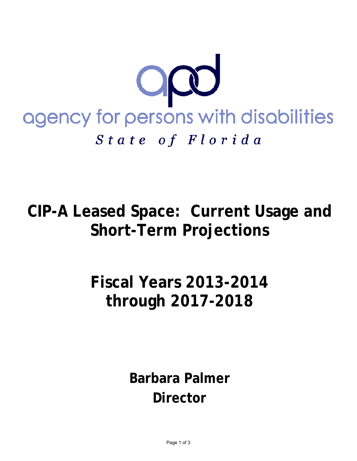

# **CIP-A Leased Space: Current Usage and Short-Term Projections**

# **Fiscal Years 2013-2014 through 2017-2018**

**Barbara Palmer Director**

Page 1 of 3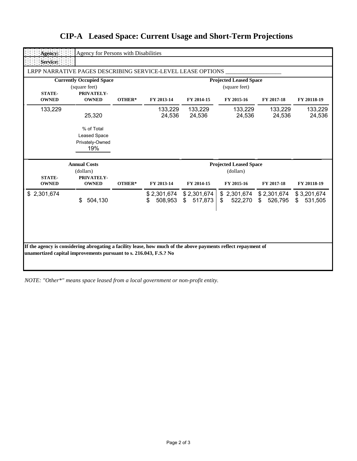| Agency:                                                                         | Agency for Persons with Disabilities                        |        |                                                |                              |                                          |                   |                              |
|---------------------------------------------------------------------------------|-------------------------------------------------------------|--------|------------------------------------------------|------------------------------|------------------------------------------|-------------------|------------------------------|
| Service:                                                                        |                                                             |        |                                                |                              |                                          |                   |                              |
|                                                                                 | LRPP NARRATIVE PAGES DESCRIBING SERVICE-LEVEL LEASE OPTIONS |        |                                                |                              |                                          |                   |                              |
| <b>Currently Occupied Space</b><br>(square feet)<br><b>STATE-</b><br>PRIVATELY- |                                                             |        | <b>Projected Leased Space</b><br>(square feet) |                              |                                          |                   |                              |
| <b>OWNED</b>                                                                    | <b>OWNED</b>                                                | OTHER* | FY 2013-14                                     | FY 2014-15                   | FY 2015-16                               | FY 2017-18        | FY 20118-19                  |
| 133,229                                                                         | 25,320                                                      |        | 133,229<br>24,536                              | 133,229<br>24,536            | 133,229<br>24,536                        | 133,229<br>24,536 | 133,229<br>24,536            |
|                                                                                 | % of Total<br><b>Leased Space</b><br>Privately-Owned<br>19% |        |                                                |                              |                                          |                   |                              |
| <b>Annual Costs</b><br>(dollars)                                                |                                                             |        | <b>Projected Leased Space</b><br>(dollars)     |                              |                                          |                   |                              |
|                                                                                 |                                                             |        |                                                |                              |                                          |                   |                              |
| <b>STATE-</b><br><b>OWNED</b>                                                   | PRIVATELY-<br><b>OWNED</b>                                  | OTHER* | FY 2013-14                                     | FY 2014-15                   | FY 2015-16                               | FY 2017-18        | FY 20118-19                  |
| \$2,301,674                                                                     | \$<br>504,130                                               |        | \$2,301,674<br>508,953<br>S                    | \$2,301,674<br>517,873<br>\$ | \$2,301,674 \$2,301,674<br>\$<br>522,270 | 526,795<br>S.     | \$3,201,674<br>531,505<br>\$ |
|                                                                                 |                                                             |        |                                                |                              |                                          |                   |                              |

### **CIP-A Leased Space: Current Usage and Short-Term Projections**

*NOTE: "Other\*" means space leased from a local government or non-profit entity.*